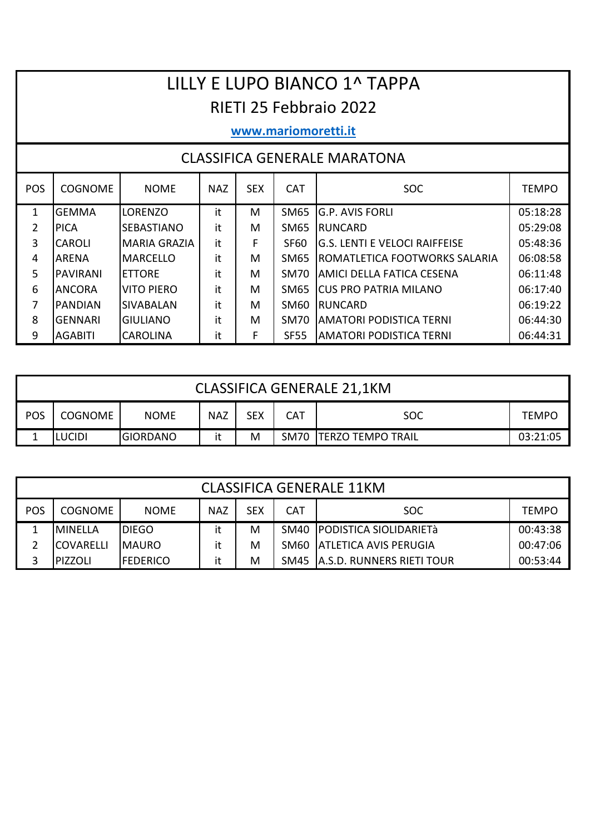# LILLY E LUPO BIANCO 1^ TAPPA RIETI 25 Febbraio 2022

#### www.mariomoretti.it

#### **CLASSIFICA GENERALE MARATONA**

| <b>POS</b> | <b>COGNOME</b>  | <b>NOME</b>         | <b>NAZ</b> | <b>SEX</b> | <b>CAT</b>       | <b>SOC</b>                           | <b>TEMPO</b> |
|------------|-----------------|---------------------|------------|------------|------------------|--------------------------------------|--------------|
| 1          | <b>GEMMA</b>    | <b>LORENZO</b>      | it         | M          | SM65             | IG.P. AVIS FORLI                     | 05:18:28     |
| 2          | <b>IPICA</b>    | <b>SEBASTIANO</b>   | it         | M          | SM65             | IRUNCARD                             | 05:29:08     |
| 3          | <b>CAROLI</b>   | <b>MARIA GRAZIA</b> | it         | F          | SF <sub>60</sub> | IG.S. LENTI E VELOCI RAIFFEISE       | 05:48:36     |
| 4          | <b>ARENA</b>    | IMARCFLLO           | it         | M          | SM65             | <b>ROMATLETICA FOOTWORKS SALARIA</b> | 06:08:58     |
| 5          | <b>PAVIRANI</b> | <b>IFTTORF</b>      | it         | м          | SM70             | IAMICI DELLA FATICA CESENA           | 06:11:48     |
| 6          | <b>IANCORA</b>  | <b>VITO PIERO</b>   | it         | M          | SM65             | <b>ICUS PRO PATRIA MILANO</b>        | 06:17:40     |
| 7          | <b>IPANDIAN</b> | <b>SIVABALAN</b>    | it         | M          | SM60             | <b>IRUNCARD</b>                      | 06:19:22     |
| 8          | <b>GENNARI</b>  | IGIULIANO           | it         | M          | SM70             | AMATORI PODISTICA TERNI              | 06:44:30     |
| 9          | <b>AGABITI</b>  | <b>CAROLINA</b>     | it         | F          | <b>SF55</b>      | AMATORI PODISTICA TERNI              | 06:44:31     |

|            | <b>CLASSIFICA GENERALE 21,1KM</b>                                             |             |            |            |     |     |              |  |  |  |  |
|------------|-------------------------------------------------------------------------------|-------------|------------|------------|-----|-----|--------------|--|--|--|--|
| <b>POS</b> | <b>COGNOME</b>                                                                | <b>NOME</b> | <b>NAZ</b> | <b>SEX</b> | CAT | SOC | <b>TEMPO</b> |  |  |  |  |
|            | SM70   TERZO TEMPO TRAIL<br>M<br><b>GIORDANO</b><br><b>LUCIDI</b><br>03:21:05 |             |            |            |     |     |              |  |  |  |  |

|     | <b>CLASSIFICA GENERALE 11KM</b>                                                          |               |    |   |  |                                 |          |  |  |  |  |  |
|-----|------------------------------------------------------------------------------------------|---------------|----|---|--|---------------------------------|----------|--|--|--|--|--|
| POS | <b>SEX</b><br><b>CAT</b><br><b>NAZ</b><br><b>COGNOME</b><br><b>NOME</b><br>SOC.<br>TEMPO |               |    |   |  |                                 |          |  |  |  |  |  |
|     | <b>MINFLLA</b>                                                                           | <b>IDIEGO</b> | it | M |  | SM40   PODISTICA SIOLIDARIETà   | 00:43:38 |  |  |  |  |  |
|     | <b>COVARELLI</b>                                                                         | <b>IMAURO</b> | it | M |  | SM60 ATLETICA AVIS PERUGIA      | 00:47:06 |  |  |  |  |  |
|     | <b>PIZZOLI</b>                                                                           | IFEDERICO     | it | M |  | SM45 IA.S.D. RUNNERS RIETI TOUR | 00:53:44 |  |  |  |  |  |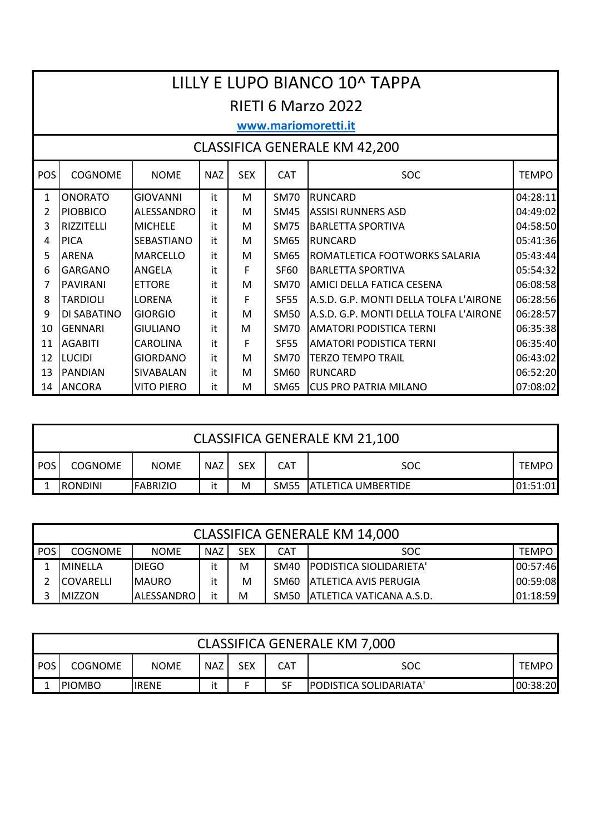|                                                                                                            |                                                                                                |                   |    |   |             | LILLY E LUPO BIANCO 10^ TAPPA          |          |  |  |  |  |  |  |
|------------------------------------------------------------------------------------------------------------|------------------------------------------------------------------------------------------------|-------------------|----|---|-------------|----------------------------------------|----------|--|--|--|--|--|--|
|                                                                                                            | <b>RIETI 6 Marzo 2022</b>                                                                      |                   |    |   |             |                                        |          |  |  |  |  |  |  |
|                                                                                                            | www.mariomoretti.it                                                                            |                   |    |   |             |                                        |          |  |  |  |  |  |  |
| <b>CLASSIFICA GENERALE KM 42,200</b>                                                                       |                                                                                                |                   |    |   |             |                                        |          |  |  |  |  |  |  |
| POS                                                                                                        | <b>SEX</b><br><b>SOC</b><br><b>COGNOME</b><br><b>NOME</b><br><b>NAZ</b><br>CAT<br><b>TEMPO</b> |                   |    |   |             |                                        |          |  |  |  |  |  |  |
| $\mathbf{1}$                                                                                               | <b>ONORATO</b>                                                                                 | <b>GIOVANNI</b>   | it | M | <b>SM70</b> | <b>RUNCARD</b>                         | 04:28:11 |  |  |  |  |  |  |
| $\overline{2}$                                                                                             | <b>PIOBBICO</b>                                                                                | ALESSANDRO        | it | M | <b>SM45</b> | <b>ASSISI RUNNERS ASD</b>              | 04:49:02 |  |  |  |  |  |  |
| 3<br>04:58:50<br><b>RIZZITELLI</b><br><b>MICHELE</b><br><b>SM75</b><br><b>BARLETTA SPORTIVA</b><br>it<br>M |                                                                                                |                   |    |   |             |                                        |          |  |  |  |  |  |  |
| 4                                                                                                          | <b>PICA</b>                                                                                    | <b>SEBASTIANO</b> | it | М | SM65        | <b>RUNCARD</b>                         | 05:41:36 |  |  |  |  |  |  |
| 5                                                                                                          | <b>ARENA</b>                                                                                   | <b>MARCELLO</b>   | it | M | <b>SM65</b> | ROMATLETICA FOOTWORKS SALARIA          | 05:43:44 |  |  |  |  |  |  |
| 6                                                                                                          | <b>GARGANO</b>                                                                                 | <b>ANGELA</b>     | it | F | <b>SF60</b> | <b>BARLETTA SPORTIVA</b>               | 05:54:32 |  |  |  |  |  |  |
| 7                                                                                                          | PAVIRANI                                                                                       | <b>ETTORE</b>     | it | M | <b>SM70</b> | AMICI DELLA FATICA CESENA              | 06:08:58 |  |  |  |  |  |  |
| 8                                                                                                          | <b>TARDIOLI</b>                                                                                | LORENA            | it | F | <b>SF55</b> | A.S.D. G.P. MONTI DELLA TOLFA L'AIRONE | 06:28:56 |  |  |  |  |  |  |
| 9                                                                                                          | DI SABATINO                                                                                    | <b>GIORGIO</b>    | it | M | <b>SM50</b> | A.S.D. G.P. MONTI DELLA TOLFA L'AIRONE | 06:28:57 |  |  |  |  |  |  |
| 10                                                                                                         | <b>GENNARI</b>                                                                                 | <b>GIULIANO</b>   | it | M | <b>SM70</b> | <b>AMATORI PODISTICA TERNI</b>         | 06:35:38 |  |  |  |  |  |  |
| 11                                                                                                         | <b>AGABITI</b>                                                                                 | <b>CAROLINA</b>   | it | F | <b>SF55</b> | <b>AMATORI PODISTICA TERNI</b>         | 06:35:40 |  |  |  |  |  |  |
| 12                                                                                                         | <b>LUCIDI</b>                                                                                  | <b>GIORDANO</b>   | it | M | <b>SM70</b> | <b>TERZO TEMPO TRAIL</b>               | 06:43:02 |  |  |  |  |  |  |
| 13                                                                                                         | <b>PANDIAN</b>                                                                                 | <b>SIVABALAN</b>  | it | M | SM60        | <b>RUNCARD</b>                         | 06:52:20 |  |  |  |  |  |  |
| 14                                                                                                         | <b>ANCORA</b>                                                                                  | <b>VITO PIERO</b> | it | M | <b>SM65</b> | CUS PRO PATRIA MILANO                  | 07:08:02 |  |  |  |  |  |  |

|            | <b>CLASSIFICA GENERALE KM 21,100</b>                                                                       |             |            |            |            |            |              |  |  |  |  |
|------------|------------------------------------------------------------------------------------------------------------|-------------|------------|------------|------------|------------|--------------|--|--|--|--|
| <b>POS</b> | <b>COGNOME</b>                                                                                             | <b>NOME</b> | <b>NAZ</b> | <b>SEX</b> | <b>CAT</b> | <b>SOC</b> | <b>TEMPO</b> |  |  |  |  |
|            | SM <sub>55</sub><br>it<br>M<br><b>ATLETICA UMBERTIDE</b><br><b>RONDINI</b><br>01:51:01<br><b>IFABRIZIO</b> |             |            |            |            |            |              |  |  |  |  |

|     | CLASSIFICA GENERALE KM 14,000                                                                         |  |  |  |  |  |  |  |  |  |  |  |
|-----|-------------------------------------------------------------------------------------------------------|--|--|--|--|--|--|--|--|--|--|--|
| POS | <b>SEX</b><br><b>COGNOME</b><br><b>NOME</b><br><b>NAZ</b><br><b>SOC</b><br><b>CAT</b><br><b>TEMPO</b> |  |  |  |  |  |  |  |  |  |  |  |
|     | SM40<br><b>IPODISTICA SIOLIDARIETA'</b><br>00:57:46<br><b>DIEGO</b><br><b>MINFLLA</b><br>it<br>М      |  |  |  |  |  |  |  |  |  |  |  |
|     | <b>LATLETICA AVIS PERUGIA</b><br><b>IMAURO</b><br>M<br>00:59:08<br><b>ICOVARFLLI</b><br>SM60<br>it    |  |  |  |  |  |  |  |  |  |  |  |
| 3   | ALESSANDRO<br>01:18:59<br>IATLETICA VATICANA A.S.D.<br>м<br><b>IMIZZON</b><br>it<br>SM50              |  |  |  |  |  |  |  |  |  |  |  |

|     | CLASSIFICA GENERALE KM 7,000                                                           |             |            |     |     |     |       |  |  |  |  |  |
|-----|----------------------------------------------------------------------------------------|-------------|------------|-----|-----|-----|-------|--|--|--|--|--|
| POS | <b>COGNOME</b>                                                                         | <b>NOME</b> | <b>NAZ</b> | SEX | CAT | SOC | TEMPO |  |  |  |  |  |
|     | <b>PODISTICA SOLIDARIATA'</b><br>SF<br>00:38:20<br><b>PIOMBO</b><br><b>IRENE</b><br>it |             |            |     |     |     |       |  |  |  |  |  |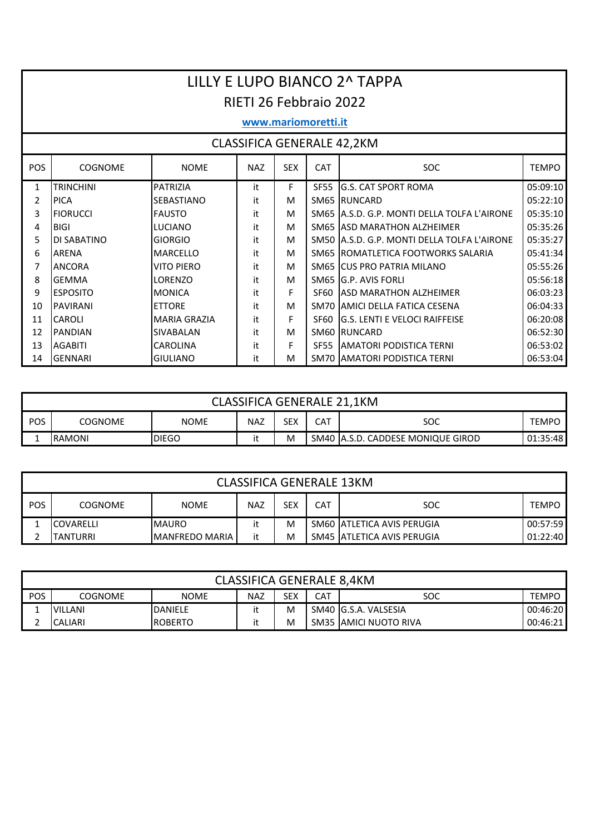|            | LILLY E LUPO BIANCO 2^ TAPPA      |                     |            |            |             |                                             |              |  |  |  |  |  |  |
|------------|-----------------------------------|---------------------|------------|------------|-------------|---------------------------------------------|--------------|--|--|--|--|--|--|
|            | RIETI 26 Febbraio 2022            |                     |            |            |             |                                             |              |  |  |  |  |  |  |
|            | www.mariomoretti.it               |                     |            |            |             |                                             |              |  |  |  |  |  |  |
|            | <b>CLASSIFICA GENERALE 42,2KM</b> |                     |            |            |             |                                             |              |  |  |  |  |  |  |
|            |                                   |                     |            |            |             |                                             |              |  |  |  |  |  |  |
| <b>POS</b> | <b>COGNOME</b>                    | <b>NOME</b>         | <b>NAZ</b> | <b>SEX</b> | <b>CAT</b>  | <b>SOC</b>                                  | <b>TEMPO</b> |  |  |  |  |  |  |
| 1          | <b>TRINCHINI</b>                  | <b>PATRIZIA</b>     | it         | F          | <b>SF55</b> | <b>G.S. CAT SPORT ROMA</b>                  | 05:09:10     |  |  |  |  |  |  |
| 2          | <b>PICA</b>                       | <b>SEBASTIANO</b>   | it         | M          |             | SM65 RUNCARD                                | 05:22:10     |  |  |  |  |  |  |
| 3          | <b>FIORUCCI</b>                   | <b>FAUSTO</b>       | it         | м          |             | SM65 A.S.D. G.P. MONTI DELLA TOLFA L'AIRONE | 05:35:10     |  |  |  |  |  |  |
| 4          | <b>BIGI</b>                       | <b>LUCIANO</b>      | it         | м          |             | SM65 ASD MARATHON ALZHEIMER                 | 05:35:26     |  |  |  |  |  |  |
| 5          | <b>DI SABATINO</b>                | <b>GIORGIO</b>      | it         | м          |             | SM50 A.S.D. G.P. MONTI DELLA TOLFA L'AIRONE | 05:35:27     |  |  |  |  |  |  |
| 6          | <b>ARENA</b>                      | <b>MARCELLO</b>     | it         | м          |             | SM65 ROMATLETICA FOOTWORKS SALARIA          | 05:41:34     |  |  |  |  |  |  |
| 7          | <b>ANCORA</b>                     | <b>VITO PIERO</b>   | it         | М          |             | SM65 CUS PRO PATRIA MILANO                  | 05:55:26     |  |  |  |  |  |  |
| 8          | <b>GEMMA</b>                      | <b>LORENZO</b>      | it         | м          |             | SM65 G.P. AVIS FORLI                        | 05:56:18     |  |  |  |  |  |  |
| 9          | <b>ESPOSITO</b>                   | <b>MONICA</b>       | it         | F          |             | SF60 ASD MARATHON ALZHEIMER                 | 06:03:23     |  |  |  |  |  |  |
| 10         | <b>PAVIRANI</b>                   | <b>ETTORE</b>       | it         | M          |             | SM70 AMICI DELLA FATICA CESENA              | 06:04:33     |  |  |  |  |  |  |
| 11         | <b>CAROLI</b>                     | <b>MARIA GRAZIA</b> | it         | F          |             | SF60 G.S. LENTI E VELOCI RAIFFEISE          | 06:20:08     |  |  |  |  |  |  |
| 12         | <b>PANDIAN</b>                    | <b>SIVABALAN</b>    | it         | M          |             | SM60 RUNCARD                                | 06:52:30     |  |  |  |  |  |  |
| 13         | <b>AGABITI</b>                    | <b>CAROLINA</b>     | it         | F          | <b>SE55</b> | <b>JAMATORI PODISTICA TERNI</b>             | 06:53:02     |  |  |  |  |  |  |
| 14         | <b>GENNARI</b>                    | <b>GIULIANO</b>     | it         | М          |             | SM70 AMATORI PODISTICA TERNI                | 06:53:04     |  |  |  |  |  |  |

|       | <b>CLASSIFICA GENERALE 21,1KM</b>                                                     |  |  |  |  |  |  |  |  |  |  |  |
|-------|---------------------------------------------------------------------------------------|--|--|--|--|--|--|--|--|--|--|--|
| I POS | SEX<br>CAT<br><b>NAZ</b><br>soc<br><b>NOME</b><br><b>COGNOME</b><br><b>TEMPO</b>      |  |  |  |  |  |  |  |  |  |  |  |
|       | SM40   A.S.D. CADDESE MONIQUE GIROD<br>01:35:48<br><b>DIEGO</b><br><b>RAMONI</b><br>M |  |  |  |  |  |  |  |  |  |  |  |

|       | <b>CLASSIFICA GENERALE 13KM</b>                                                         |                        |    |   |  |                             |          |  |  |  |  |
|-------|-----------------------------------------------------------------------------------------|------------------------|----|---|--|-----------------------------|----------|--|--|--|--|
| I POS | <b>SEX</b><br><b>NAZ</b><br>CAT<br>SOC<br><b>COGNOME</b><br><b>NOME</b><br><b>TEMPO</b> |                        |    |   |  |                             |          |  |  |  |  |
|       | <b>ICOVARELLI</b>                                                                       | <b>MAURO</b>           |    | M |  | SM60 ATLETICA AVIS PERUGIA  | 00:57:59 |  |  |  |  |
|       | TANTURRI                                                                                | <b>IMANFREDO MARIA</b> | it | M |  | SM45 IATLETICA AVIS PERUGIA | 01:22:40 |  |  |  |  |

|     | <b>CLASSIFICA GENERALE 8,4KM</b>                                            |                |  |   |  |                       |          |  |  |  |  |
|-----|-----------------------------------------------------------------------------|----------------|--|---|--|-----------------------|----------|--|--|--|--|
| POS | CAT<br>soc<br>SEX<br><b>COGNOME</b><br><b>NOME</b><br>NAZ<br>TEMPO          |                |  |   |  |                       |          |  |  |  |  |
|     | <b>VILLANI</b>                                                              | <b>DANIELE</b> |  | M |  | SM40 IG.S.A. VALSESIA | 00:46:20 |  |  |  |  |
| ำ   | SM35 JAMICI NUOTO RIVA<br><b>ROBERTO</b><br>00:46:21<br><b>CALIARI</b><br>м |                |  |   |  |                       |          |  |  |  |  |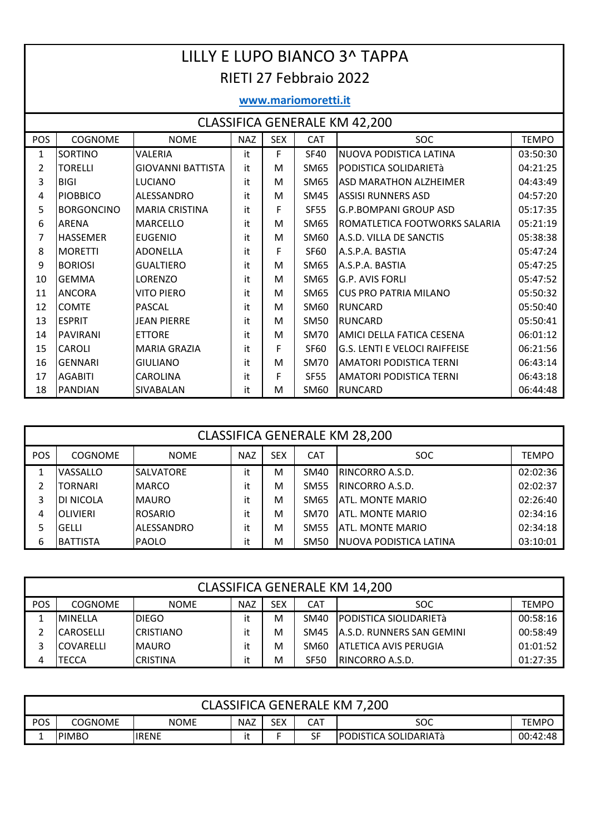|                | LILLY E LUPO BIANCO 3^ TAPPA                                                                   |                          |    |   |             |                                      |          |  |  |  |  |  |  |  |
|----------------|------------------------------------------------------------------------------------------------|--------------------------|----|---|-------------|--------------------------------------|----------|--|--|--|--|--|--|--|
|                |                                                                                                |                          |    |   |             |                                      |          |  |  |  |  |  |  |  |
|                | <b>RIETI 27 Febbraio 2022</b>                                                                  |                          |    |   |             |                                      |          |  |  |  |  |  |  |  |
|                | www.mariomoretti.it                                                                            |                          |    |   |             |                                      |          |  |  |  |  |  |  |  |
|                | <b>CLASSIFICA GENERALE KM 42,200</b>                                                           |                          |    |   |             |                                      |          |  |  |  |  |  |  |  |
| POS            | <b>COGNOME</b><br><b>NAZ</b><br><b>SEX</b><br>CAT<br><b>NOME</b><br><b>SOC</b><br><b>TEMPO</b> |                          |    |   |             |                                      |          |  |  |  |  |  |  |  |
| $\mathbf{1}$   | SORTINO                                                                                        | VALERIA                  | it | F | <b>SF40</b> | NUOVA PODISTICA LATINA               | 03:50:30 |  |  |  |  |  |  |  |
| $\overline{2}$ | <b>TORELLI</b>                                                                                 | <b>GIOVANNI BATTISTA</b> | it | M | SM65        | PODISTICA SOLIDARIETà                | 04:21:25 |  |  |  |  |  |  |  |
| 3              | <b>BIGI</b>                                                                                    | <b>LUCIANO</b>           | it | M | SM65        | <b>ASD MARATHON ALZHEIMER</b>        | 04:43:49 |  |  |  |  |  |  |  |
| $\overline{4}$ | <b>PIOBBICO</b>                                                                                | ALESSANDRO               | it | M | SM45        | <b>ASSISI RUNNERS ASD</b>            | 04:57:20 |  |  |  |  |  |  |  |
| 5              | <b>BORGONCINO</b>                                                                              | <b>MARIA CRISTINA</b>    | it | F | <b>SF55</b> | <b>G.P.BOMPANI GROUP ASD</b>         | 05:17:35 |  |  |  |  |  |  |  |
| 6              | ARENA                                                                                          | <b>MARCELLO</b>          | it | M | SM65        | ROMATLETICA FOOTWORKS SALARIA        | 05:21:19 |  |  |  |  |  |  |  |
| 7              | <b>HASSEMER</b>                                                                                | <b>EUGENIO</b>           | it | м | SM60        | A.S.D. VILLA DE SANCTIS              | 05:38:38 |  |  |  |  |  |  |  |
| 8              | <b>MORETTI</b>                                                                                 | <b>ADONELLA</b>          | it | F | <b>SF60</b> | A.S.P.A. BASTIA                      | 05:47:24 |  |  |  |  |  |  |  |
| 9              | <b>BORIOSI</b>                                                                                 | <b>GUALTIERO</b>         | it | M | SM65        | A.S.P.A. BASTIA                      | 05:47:25 |  |  |  |  |  |  |  |
| 10             | <b>GEMMA</b>                                                                                   | LORENZO                  | it | M | <b>SM65</b> | <b>G.P. AVIS FORLI</b>               | 05:47:52 |  |  |  |  |  |  |  |
| 11             | <b>ANCORA</b>                                                                                  | <b>VITO PIERO</b>        | it | M | SM65        | <b>CUS PRO PATRIA MILANO</b>         | 05:50:32 |  |  |  |  |  |  |  |
| 12             | <b>COMTE</b>                                                                                   | <b>PASCAL</b>            | it | M | SM60        | <b>RUNCARD</b>                       | 05:50:40 |  |  |  |  |  |  |  |
| 13             | <b>ESPRIT</b>                                                                                  | <b>JEAN PIERRE</b>       | it | M | <b>SM50</b> | <b>RUNCARD</b>                       | 05:50:41 |  |  |  |  |  |  |  |
| 14             | <b>PAVIRANI</b>                                                                                | <b>ETTORE</b>            | it | M | <b>SM70</b> | AMICI DELLA FATICA CESENA            | 06:01:12 |  |  |  |  |  |  |  |
| 15             | <b>CAROLI</b>                                                                                  | <b>MARIA GRAZIA</b>      | it | F | <b>SF60</b> | <b>G.S. LENTI E VELOCI RAIFFEISE</b> | 06:21:56 |  |  |  |  |  |  |  |
| 16             | <b>GENNARI</b>                                                                                 | <b>GIULIANO</b>          | it | м | <b>SM70</b> | <b>AMATORI PODISTICA TERNI</b>       | 06:43:14 |  |  |  |  |  |  |  |
| 17             | <b>AGABITI</b>                                                                                 | <b>CAROLINA</b>          | it | F | <b>SF55</b> | <b>AMATORI PODISTICA TERNI</b>       | 06:43:18 |  |  |  |  |  |  |  |
| 18             | <b>PANDIAN</b>                                                                                 | SIVABALAN                | it | M | <b>SM60</b> | <b>RUNCARD</b>                       | 06:44:48 |  |  |  |  |  |  |  |

|     | <b>CLASSIFICA GENERALE KM 28,200</b> |                  |            |            |             |                          |              |  |  |  |  |  |
|-----|--------------------------------------|------------------|------------|------------|-------------|--------------------------|--------------|--|--|--|--|--|
| POS | <b>COGNOME</b>                       | <b>NOME</b>      | <b>NAZ</b> | <b>SEX</b> | <b>CAT</b>  | SOC.                     | <b>TEMPO</b> |  |  |  |  |  |
| 1   | VASSALLO                             | <b>SALVATORE</b> | it         | M          | SM40        | IRINCORRO A.S.D.         | 02:02:36     |  |  |  |  |  |
| 2   | TORNARI                              | <b>MARCO</b>     | it         | M          | <b>SM55</b> | IRINCORRO A.S.D.         | 02:02:37     |  |  |  |  |  |
| 3   | DI NICOLA                            | <b>MAURO</b>     | it         | M          | SM65        | <b>IATL. MONTE MARIO</b> | 02:26:40     |  |  |  |  |  |
| 4   | <b>OLIVIERI</b>                      | ROSARIO          | it         | M          | SM70        | IATL. MONTE MARIO        | 02:34:16     |  |  |  |  |  |
|     | <b>GELLI</b>                         | ALESSANDRO       | it         | M          | <b>SM55</b> | ATL. MONTE MARIO         | 02:34:18     |  |  |  |  |  |
| 6   | <b>BATTISTA</b>                      | <b>PAOLO</b>     | it         | M          | SM50        | NUOVA PODISTICA LATINA   | 03:10:01     |  |  |  |  |  |

|     | <b>CLASSIFICA GENERALE KM 14,200</b>                                                                  |                  |    |   |                  |                                   |          |  |  |  |  |  |
|-----|-------------------------------------------------------------------------------------------------------|------------------|----|---|------------------|-----------------------------------|----------|--|--|--|--|--|
| POS | <b>SEX</b><br><b>COGNOME</b><br><b>NAZ</b><br><b>CAT</b><br><b>SOC</b><br><b>NOME</b><br><b>TEMPO</b> |                  |    |   |                  |                                   |          |  |  |  |  |  |
|     | <b>MINELLA</b>                                                                                        | DIEGO            |    | M | SM40             | PODISTICA SIOLIDARIETà            | 00:58:16 |  |  |  |  |  |
|     | <b>CAROSELLI</b>                                                                                      | <b>CRISTIANO</b> | it | м | <b>SM45</b>      | <b>JA.S.D. RUNNERS SAN GEMINI</b> | 00:58:49 |  |  |  |  |  |
|     | <b>COVARELLI</b>                                                                                      | <b>MAURO</b>     |    | M | SM <sub>60</sub> | <b>JATLETICA AVIS PERUGIA</b>     | 01:01:52 |  |  |  |  |  |
| 4   | TECCA                                                                                                 | <b>CRISTINA</b>  | it | M | <b>SF50</b>      | <b>IRINCORRO A.S.D.</b>           | 01:27:35 |  |  |  |  |  |

|     | <b>CLASSIFICA GENERALE KM 7,200</b>                                       |        |  |  |    |                        |          |  |  |  |  |  |
|-----|---------------------------------------------------------------------------|--------|--|--|----|------------------------|----------|--|--|--|--|--|
| POS | SEX<br><b>NAZ</b><br><b>CAT</b><br>soc<br><b>NOME</b><br>COGNOME<br>TEMPC |        |  |  |    |                        |          |  |  |  |  |  |
| -   | <b>PIMBO</b>                                                              | lirene |  |  | SF | IPODISTICA SOLIDARIATà | 00:42:48 |  |  |  |  |  |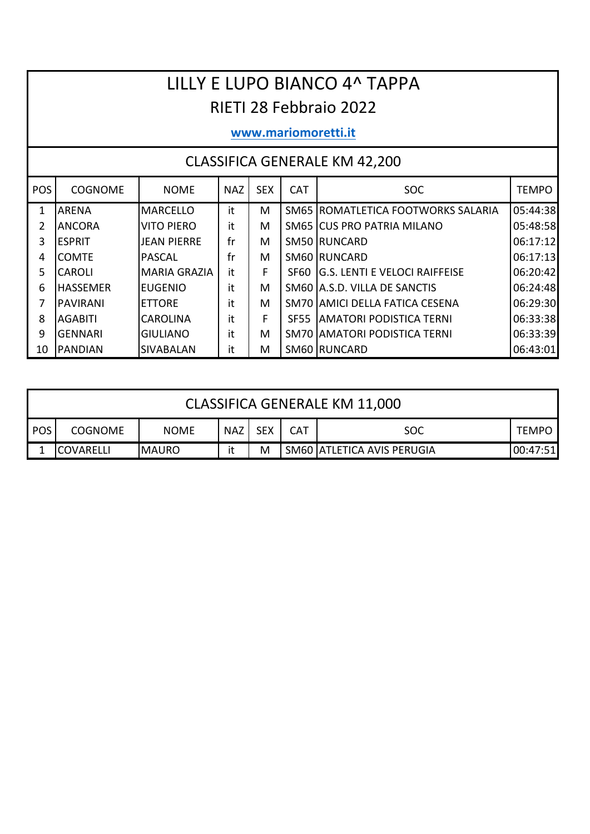# LILLY E LUPO BIANCO 4^ TAPPA RIETI 28 Febbraio 2022

### **www.mariomoretti.it**

| <b>POS</b>   | <b>COGNOME</b>  | <b>NOME</b>         | <b>NAZ</b> | <b>SEX</b> | <b>CAT</b>       | <b>SOC</b>                            | <b>TEMPO</b> |
|--------------|-----------------|---------------------|------------|------------|------------------|---------------------------------------|--------------|
| $\mathbf{1}$ | <b>ARENA</b>    | <b>MARCELLO</b>     | it         | М          |                  | SM65 ROMATLETICA FOOTWORKS SALARIA    | 05:44:38     |
| 2            | <b>ANCORA</b>   | <b>VITO PIERO</b>   | it         | M          |                  | SM65 CUS PRO PATRIA MILANO            | 05:48:58     |
| 3            | <b>IESPRIT</b>  | <b>JEAN PIERRE</b>  | fr         | M          |                  | SM50 RUNCARD                          | 06:17:12     |
| 4            | <b>COMTF</b>    | <b>PASCAL</b>       | fr         | М          |                  | SM60 RUNCARD                          | 06:17:13     |
| 5            | <b>CAROLI</b>   | <b>MARIA GRAZIA</b> | it         | F          | SF60             | <b>IG.S. LENTI E VELOCI RAIFFEISE</b> | 06:20:42     |
| 6            | <b>HASSEMER</b> | <b>EUGENIO</b>      | it         | M          |                  | SM60 A.S.D. VILLA DE SANCTIS          | 06:24:48     |
| 7            | <b>PAVIRANI</b> | <b>ETTORE</b>       | it         | м          |                  | SM70 JAMICI DELLA FATICA CESENA       | 06:29:30     |
| 8            | AGABITI         | <b>CAROLINA</b>     | it         | F          | SF <sub>55</sub> | <b>AMATORI PODISTICA TERNI</b>        | 06:33:38     |
| 9            | <b>GFNNARI</b>  | <b>GIULIANO</b>     | it         | M          |                  | SM70 AMATORI PODISTICA TERNI          | 06:33:39     |
| 10           | <b>PANDIAN</b>  | <b>SIVABALAN</b>    | it         | M          |                  | SM60 RUNCARD                          | 06:43:01     |

|            | CLASSIFICA GENERALE KM 11,000                                                                         |  |  |  |  |  |  |  |  |  |  |  |
|------------|-------------------------------------------------------------------------------------------------------|--|--|--|--|--|--|--|--|--|--|--|
| <b>POS</b> | <b>SEX</b><br><b>NAZ</b><br><b>CAT</b><br><b>COGNOME</b><br><b>NOME</b><br><b>TEMPO</b><br><b>SOC</b> |  |  |  |  |  |  |  |  |  |  |  |
|            | SM60 ATLETICA AVIS PERUGIA<br><b>IMAURO</b><br>Μ<br>00:47:51<br><b>ICOVARELLI</b>                     |  |  |  |  |  |  |  |  |  |  |  |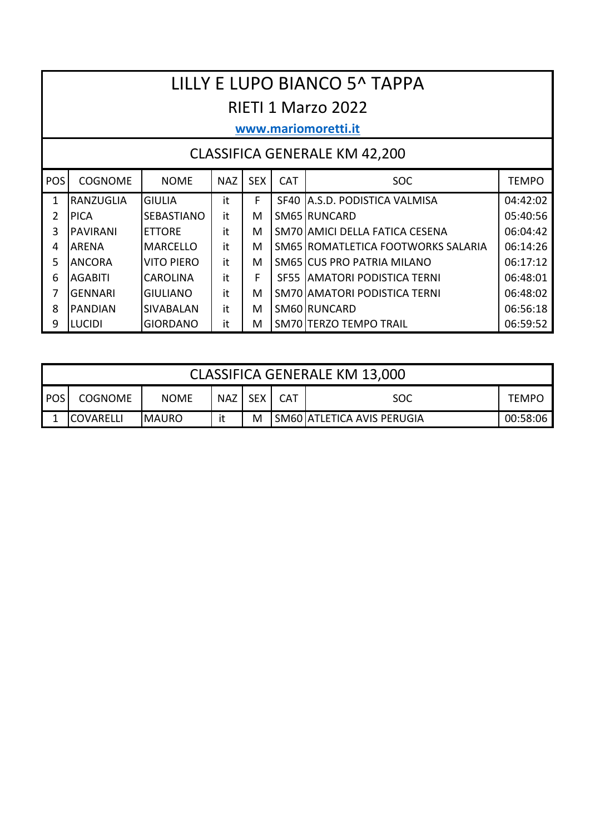# LILLY E LUPO BIANCO 5^ TAPPA RIETI 1 Marzo 2022

#### www.mariomoretti.it

| <b>POS</b> | <b>COGNOME</b>  | <b>NOME</b>       | <b>NAZ</b> | <b>SEX</b> | <b>CAT</b> | <b>SOC</b>                           | <b>TEMPO</b> |
|------------|-----------------|-------------------|------------|------------|------------|--------------------------------------|--------------|
|            | RANZUGLIA       | <b>GIULIA</b>     | it         | F          |            | SF40 A.S.D. PODISTICA VALMISA        | 04:42:02     |
| 2          | <b>IPICA</b>    | <b>SEBASTIANO</b> | it         | M          |            | SM65 RUNCARD                         | 05:40:56     |
| 3          | <b>PAVIRANI</b> | <b>ETTORE</b>     | it         | M          |            | SM70 AMICI DELLA FATICA CESENA       | 06:04:42     |
| 4          | <b>ARENA</b>    | <b>IMARCELLO</b>  | it         | M          |            | SM65 ROMATLETICA FOOTWORKS SALARIA   | 06:14:26     |
| 5          | <b>ANCORA</b>   | VITO PIFRO        | it         | M          |            | SM65 CUS PRO PATRIA MILANO           | 06:17:12     |
| 6          | <b>AGABITI</b>  | <b>CAROLINA</b>   | it         | F          |            | <b>SF55 LAMATORI PODISTICA TERNI</b> | 06:48:01     |
|            | <b>GENNARI</b>  | IGIULIANO         | it         | м          |            | SM70 AMATORI PODISTICA TERNI         | 06:48:02     |
| 8          | <b>PANDIAN</b>  | <b>SIVABALAN</b>  | it         | M          |            | SM60 RUNCARD                         | 06:56:18     |
| 9          | <b>LUCIDI</b>   | <b>GIORDANO</b>   | it         | Μ          |            | SM70 TERZO TEMPO TRAIL               | 06:59:52     |

|            | <b>CLASSIFICA GENERALE KM 13,000</b>                                                      |  |  |  |  |  |  |  |  |  |  |  |
|------------|-------------------------------------------------------------------------------------------|--|--|--|--|--|--|--|--|--|--|--|
| <b>POS</b> | NAZ SEX<br><b>NOME</b><br><b>CAT</b><br><b>COGNOME</b><br><b>TEMPO</b><br>SOC             |  |  |  |  |  |  |  |  |  |  |  |
|            | SM60   ATLETICA AVIS PERUGIA<br><b>IMAURO</b><br>it<br>M<br><b>ICOVARELLI</b><br>00:58:06 |  |  |  |  |  |  |  |  |  |  |  |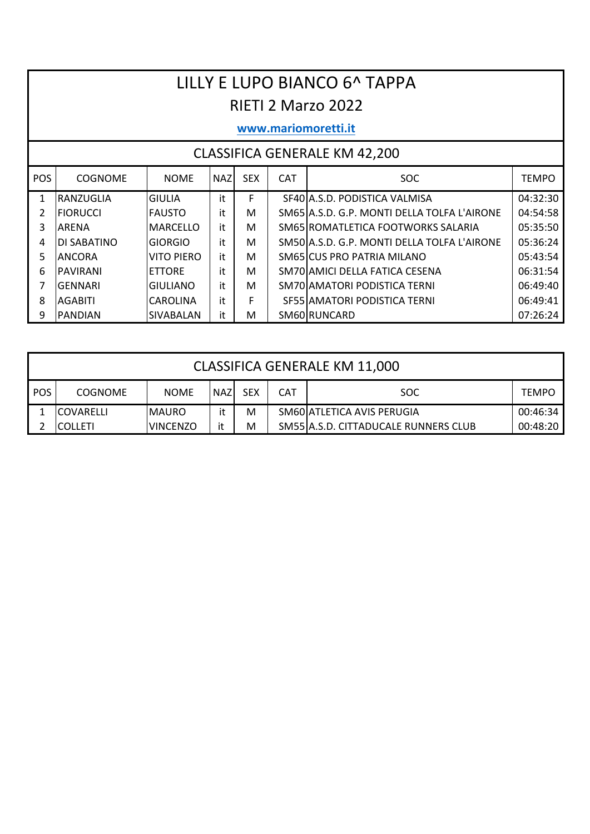# LILLY E LUPO BIANCO 6^ TAPPA RIETI 2 Marzo 2022

#### www.mariomoretti.it

| <b>POS</b> | <b>COGNOME</b>     | <b>NOME</b>      | <b>NAZ</b> | <b>SEX</b> | <b>CAT</b> | SOC.                                        | <b>TEMPO</b> |
|------------|--------------------|------------------|------------|------------|------------|---------------------------------------------|--------------|
|            | <b>RANZUGLIA</b>   | <b>GIULIA</b>    | it         |            |            | SF40 A.S.D. PODISTICA VALMISA               | 04:32:30     |
| 2          | <b>IFIORUCCI</b>   | <b>IFAUSTO</b>   | it         | M          |            | SM65 A.S.D. G.P. MONTI DELLA TOLFA L'AIRONE | 04:54:58     |
| 3          | <b>ARFNA</b>       | <b>MARCELLO</b>  | it         | м          |            | SM65 ROMATLETICA FOOTWORKS SALARIA          | 05:35:50     |
| 4          | <b>DI SABATINO</b> | <b>GIORGIO</b>   | it         | м          |            | SM50 A.S.D. G.P. MONTI DELLA TOLFA L'AIRONE | 05:36:24     |
| 5.         | IANCORA            | VITO PIFRO       | it         | м          |            | SM65 CUS PRO PATRIA MILANO                  | 05:43:54     |
| 6          | <b>PAVIRANI</b>    | <b>ETTORE</b>    | it         | м          |            | SM70 AMICI DELLA FATICA CESENA              | 06:31:54     |
|            | IGFNNARI           | <b>GIULIANO</b>  | it         | м          |            | SM70 AMATORI PODISTICA TERNI                | 06:49:40     |
| 8          | <b>AGABITI</b>     | <b>CAROLINA</b>  | it         | F          |            | SF55 AMATORI PODISTICA TERNI                | 06:49:41     |
| 9          | <b>IPANDIAN</b>    | <b>SIVABALAN</b> | it         | M          |            | SM60 RUNCARD                                | 07:26:24     |

|     | <b>CLASSIFICA GENERALE KM 11,000</b>                                                                  |              |    |   |  |                            |          |  |  |  |  |  |  |
|-----|-------------------------------------------------------------------------------------------------------|--------------|----|---|--|----------------------------|----------|--|--|--|--|--|--|
| POS | <b>SEX</b><br><b>CAT</b><br><b>NAZ</b><br><b>COGNOME</b><br><b>NOME</b><br><b>SOC</b><br><b>TEMPO</b> |              |    |   |  |                            |          |  |  |  |  |  |  |
|     | <b>ICOVARELLI</b>                                                                                     | <b>MAURO</b> | it | M |  | SM60 ATLETICA AVIS PERUGIA | 00:46:34 |  |  |  |  |  |  |
|     | SM55 A.S.D. CITTADUCALE RUNNERS CLUB<br>it<br>00:48:20<br><b>IVINCENZO</b><br>M<br><b>ICOLLETI</b>    |              |    |   |  |                            |          |  |  |  |  |  |  |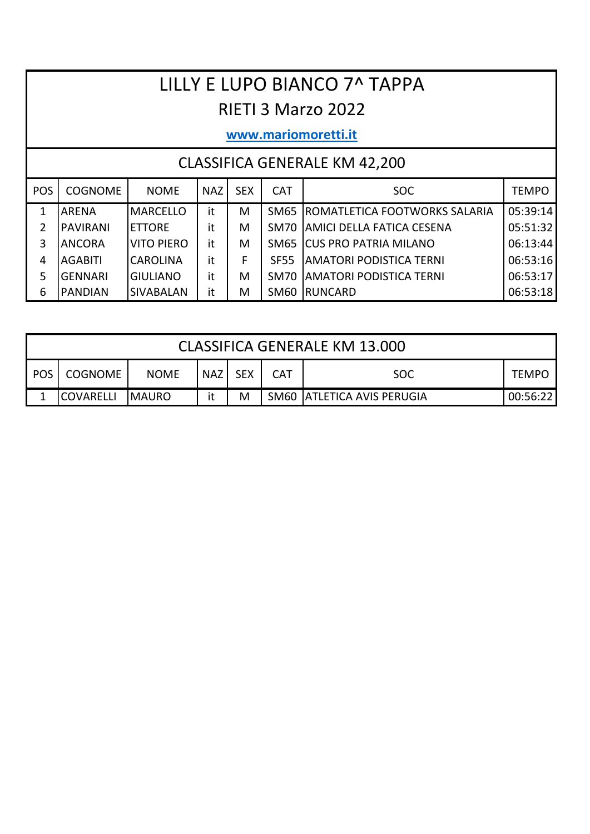# LILLY E LUPO BIANCO 7^ TAPPA RIETI 3 Marzo 2022

## **www.mariomoretti.it**

| <b>POS</b> | <b>COGNOME</b>  | <b>NOME</b>       | <b>NAZ</b> | <b>SEX</b> | <b>CAT</b>  | SOC.                             | <b>TEMPO</b> |
|------------|-----------------|-------------------|------------|------------|-------------|----------------------------------|--------------|
| 1          | <b>ARENA</b>    | <b>MARCELLO</b>   | it         | M          | SM65        | ROMATLETICA FOOTWORKS SALARIA    | 05:39:14     |
| 2          | <b>PAVIRANI</b> | <b>ETTORE</b>     | it         | M          | SM70        | <b>AMICI DELLA FATICA CESENA</b> | 05:51:32     |
| 3          | <b>ANCORA</b>   | <b>VITO PIERO</b> | it         | M          | <b>SM65</b> | <b>ICUS PRO PATRIA MILANO</b>    | 06:13:44     |
| 4          | <b>AGABITI</b>  | <b>CAROLINA</b>   | it         | F          | <b>SF55</b> | <b>AMATORI PODISTICA TERNI</b>   | 06:53:16     |
| 5          | <b>GENNARI</b>  | <b>GIULIANO</b>   | it         | M          | SM70        | <b>AMATORI PODISTICA TERNI</b>   | 06:53:17     |
| 6          | <b>PANDIAN</b>  | <b>SIVABALAN</b>  | it         | M          | <b>SM60</b> | RUNCARD                          | 06:53:18     |

|       | CLASSIFICA GENERALE KM 13.000                                                   |             |            |            |            |            |       |  |  |  |  |  |
|-------|---------------------------------------------------------------------------------|-------------|------------|------------|------------|------------|-------|--|--|--|--|--|
| POS I | <b>COGNOME</b>                                                                  | <b>NOME</b> | <b>NAZ</b> | <b>SEX</b> | <b>CAT</b> | <b>SOC</b> | TEMPO |  |  |  |  |  |
|       | SM60 ATLETICA AVIS PERUGIA<br>M<br>it<br><b>COVARELLI</b><br>IMAURO<br>00:56:22 |             |            |            |            |            |       |  |  |  |  |  |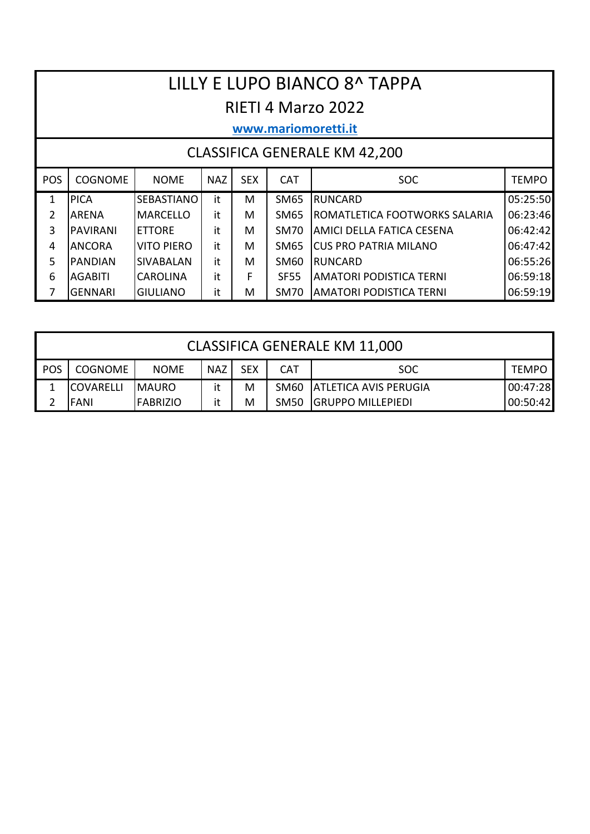# LILLY E LUPO BIANCO 8^ TAPPA RIETI 4 Marzo 2022

### **www.mariomoretti.it**

| <b>POS</b> | <b>COGNOME</b>  | <b>NOME</b>       | <b>NAZ</b> | <b>SEX</b> | <b>CAT</b>  | <b>SOC</b>                            | TEMPO    |
|------------|-----------------|-------------------|------------|------------|-------------|---------------------------------------|----------|
| 1          | <b>PICA</b>     | <b>SEBASTIANO</b> | it         | М          | SM65        | <b>IRUNCARD</b>                       | 05:25:50 |
| 2          | <b>ARENA</b>    | <b>MARCELLO</b>   | it         | M          | SM65        | <b>IROMATLETICA FOOTWORKS SALARIA</b> | 06:23:46 |
| 3          | <b>PAVIRANI</b> | <b>IETTORE</b>    | it         | М          | SM70        | IAMICI DELLA FATICA CESENA            | 06:42:42 |
| 4          | <b>ANCORA</b>   | <b>VITO PIERO</b> | it         | М          | SM65        | <b>CUS PRO PATRIA MILANO</b>          | 06:47:42 |
|            | <b>PANDIAN</b>  | <b>SIVABALAN</b>  | it         | M          | <b>SM60</b> | <b>IRUNCARD</b>                       | 06:55:26 |
| 6          | <b>AGABITI</b>  | ICAROLINA         | it         | F          | <b>SF55</b> | AMATORI PODISTICA TERNI               | 06:59:18 |
|            | IGENNARI        | <b>GIULIANO</b>   | it         | М          | SM70        | AMATORI PODISTICA TERNI               | 06:59:19 |

| <b>CLASSIFICA GENERALE KM 11,000</b> |                  |                 |            |            |             |                            |              |  |  |
|--------------------------------------|------------------|-----------------|------------|------------|-------------|----------------------------|--------------|--|--|
| <b>POS</b>                           | <b>COGNOME</b>   | <b>NOME</b>     | <b>NAZ</b> | <b>SEX</b> | <b>CAT</b>  | <b>SOC</b>                 | <b>TEMPO</b> |  |  |
|                                      | <b>COVARELLI</b> | <b>MAURO</b>    | it         | М          |             | SM60 ATLETICA AVIS PERUGIA | 00:47:28     |  |  |
|                                      | <b>FANI</b>      | <b>FABRIZIO</b> | it         | M          | <b>SM50</b> | <b>GRUPPO MILLEPIEDI</b>   | 00:50:42     |  |  |